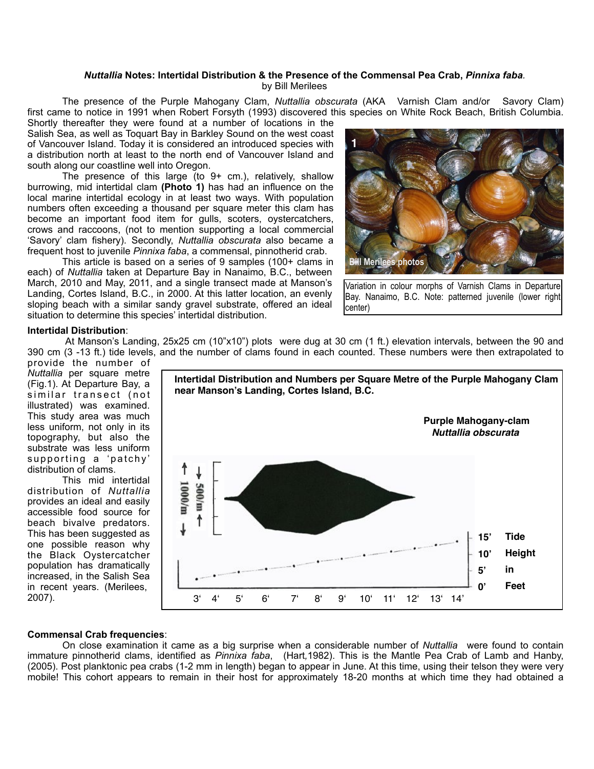## *Nuttallia* **Notes: Intertidal Distribution & the Presence of the Commensal Pea Crab,** *Pinnixa faba.* by Bill Merilees

 The presence of the Purple Mahogany Clam, *Nuttallia obscurata* (AKA Varnish Clam and/or Savory Clam) first came to notice in 1991 when Robert Forsyth (1993) discovered this species on White Rock Beach, British Columbia. Shortly thereafter they were found at a number of locations in the

Salish Sea, as well as Toquart Bay in Barkley Sound on the west coast of Vancouver Island. Today it is considered an introduced species with a distribution north at least to the north end of Vancouver Island and south along our coastline well into Oregon.

 The presence of this large (to 9+ cm.), relatively, shallow burrowing, mid intertidal clam **(Photo 1)** has had an influence on the local marine intertidal ecology in at least two ways. With population numbers often exceeding a thousand per square meter this clam has become an important food item for gulls, scoters, oystercatchers, crows and raccoons, (not to mention supporting a local commercial 'Savory' clam fishery). Secondly, *Nuttallia obscurata* also became a frequent host to juvenile *Pinnixa faba*, a commensal, pinnotherid crab.

 This article is based on a series of 9 samples (100+ clams in each) of *Nuttallia* taken at Departure Bay in Nanaimo, B.C., between March, 2010 and May, 2011, and a single transect made at Manson's Landing, Cortes Island, B.C., in 2000. At this latter location, an evenly sloping beach with a similar sandy gravel substrate, offered an ideal situation to determine this species' intertidal distribution.



Variation in colour morphs of Varnish Clams in Departure Bay. Nanaimo, B.C. Note: patterned juvenile (lower right center)

## **Intertidal Distribution**:

 At Manson's Landing, 25x25 cm (10"x10") plots were dug at 30 cm (1 ft.) elevation intervals, between the 90 and 390 cm (3 -13 ft.) tide levels, and the number of clams found in each counted. These numbers were then extrapolated to

provide the number of *Nuttallia* per square metre (Fig.1). At Departure Bay, a similar transect (not illustrated) was examined. This study area was much less uniform, not only in its topography, but also the substrate was less uniform supporting a 'patchy' distribution of clams.

 This mid intertidal distribution of *Nuttallia*  provides an ideal and easily accessible food source for beach bivalve predators. This has been suggested as one possible reason why the Black Oystercatcher population has dramatically increased, in the Salish Sea in recent years. (Merilees, 2007).



## **Commensal Crab frequencies**:

 On close examination it came as a big surprise when a considerable number of *Nuttallia* were found to contain immature pinnotherid clams, identified as *Pinnixa faba*, (Hart*,*1982). This is the Mantle Pea Crab of Lamb and Hanby, (2005). Post planktonic pea crabs (1-2 mm in length) began to appear in June. At this time, using their telson they were very mobile! This cohort appears to remain in their host for approximately 18-20 months at which time they had obtained a